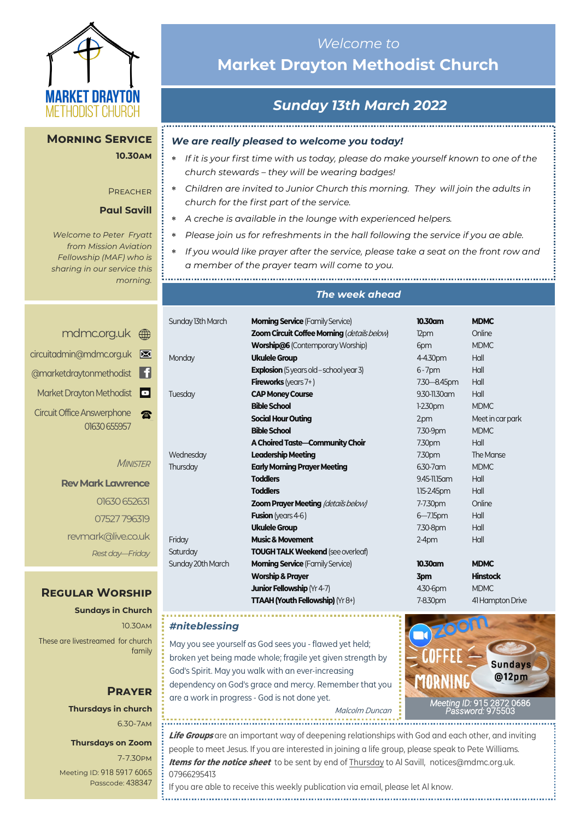

### **Morning Service 10.30am**

#### **PREACHER**

### **Paul Savill**

*Welcome to Peter Fryatt from Mission Aviation Fellowship (MAF) who is sharing in our service this morning.*

|   | mdmc.org.uk (mm            |
|---|----------------------------|
|   | circuitadmin@mdmc.org.uk   |
|   | @marketdraytonmethodist    |
| O | Market Drayton Methodist   |
|   | Circuit Office Answerphone |
|   | 01630 655957               |

**MINISTER** 

**Rev Mark Lawrence** 01630 652631 07527 796319 revmark@live.co.uk *Rest day—Friday*

### **Regular Worship**

**Sundays in Church** 10.30am These are livestreamed for church family

### **Prayer Thursdays in church**

6.30-7am

### **Thursdays on Zoom**

7-7.30pm [Meeting ID:](https://us04web.zoom.us/j/77138650306?fbclid=IwAR1B778-w3GWZgDnAqUFq-X6hXjzASNTsZuRIt4kZ4Cpyur_3CO2EGlBBwY#success) 918 5917 6065 Passcode: 438347

## *Welcome to*  **Market Drayton Methodist Church**

# *Sunday 13th March 2022*

### *We are really pleased to welcome you today!*

- *If it is your first time with us today, please do make yourself known to one of the church stewards – they will be wearing badges!*
- *Children are invited to Junior Church this morning. They will join the adults in church for the first part of the service.*
- *A creche is available in the lounge with experienced helpers.*
- *Please join us for refreshments in the hall following the service if you ae able.*
- *If you would like prayer after the service, please take a seat on the front row and a member of the prayer team will come to you.*

*The week ahead*

| Sunday 13th March | <b>Morning Service</b> (Family Service)        | 10.30am          | <b>MDMC</b>      |
|-------------------|------------------------------------------------|------------------|------------------|
|                   | Zoom Circuit Coffee Morning (details below)    | 12pm             | Online           |
|                   | <b>Worship@6 (Contemporary Worship)</b>        | 6pm              | <b>MDMC</b>      |
| Monday            | <b>Ukulele Group</b>                           | 4-4.30pm         | Hall             |
|                   | <b>Explosion</b> (5 years old - school year 3) | $6 - 7$ pm       | Hall             |
|                   | <b>Fireworks</b> (years $7+$ )                 | 7.30 - 8.45pm    | Hall             |
| Tuesday           | <b>CAP Money Course</b>                        | 9.30-11.30 am    | Hall             |
|                   | <b>Bible School</b>                            | $1-2.30$ pm      | <b>MDMC</b>      |
|                   | <b>Social Hour Outing</b>                      | 2.0 <sub>m</sub> | Meet in car park |
|                   | <b>Bible School</b>                            | 7.30-9pm         | <b>MDMC</b>      |
|                   | A Choired Taste-Community Choir                | 7.30pm           | Hall             |
| Wednesday         | <b>Leadership Meeting</b>                      | 7.30pm           | The Manse        |
| Thursday          | <b>Early Morning Prayer Meeting</b>            | 6.30-7 am        | <b>MDMC</b>      |
|                   | <b>Toddlers</b>                                | 9.45-11.15 am    | Hall             |
|                   | <b>Toddlers</b>                                | $1.15 - 2.45$ pm | Hall             |
|                   | <b>Zoom Prayer Meeting (details below)</b>     | 7-7.30pm         | Online           |
|                   | <b>Fusion</b> (years $4-6$ )                   | $6 - 7.15$ pm    | Hall             |
|                   | <b>Ukulele Group</b>                           | 7.30-8pm         | Hall             |
| Friday            | <b>Music &amp; Movement</b>                    | $2-4$ pm         | Hall             |
| Saturday          | <b>TOUGH TALK Weekend (see overleaf)</b>       |                  |                  |
| Sunday 20th March | <b>Morning Service (Family Service)</b>        | 10.30am          | <b>MDMC</b>      |
|                   | <b>Worship &amp; Prayer</b>                    | 3pm              | <b>Hinstock</b>  |
|                   | Junior Fellowship (Yr 4-7)                     | 4.30-6pm         | <b>MDMC</b>      |
|                   | TTAAH (Youth Fellowship) (Yr 8+)               | 7-8.30pm         | 41 Hampton Drive |

#### *#niteblessing*

.................................

May you see yourself as God sees you - flawed yet held; broken yet being made whole; fragile yet given strength by God's Spirit. May you walk with an ever-increasing dependency on God's grace and mercy. Remember that you are a work in progress - God is not done yet.

Malcolm Duncan

*[Meeting](https://us02web.zoom.us/j/83410523806?pwd=SmZBQmI3K3lXM1IybzNDZnhMUU5PUT09) ID:* [915 2872 0686](https://us02web.zoom.us/j/83410523806?pwd=SmZBQmI3K3lXM1IybzNDZnhMUU5PUT09)  *[Password:](https://us02web.zoom.us/j/83410523806?pwd=SmZBQmI3K3lXM1IybzNDZnhMUU5PUT09)* 975503

**Life Groups** are an important way of deepening relationships with God and each other, and inviting people to meet Jesus. If you are interested in joining a life group, please speak to Pete Williams. **Items for the notice sheet** to be sent by end of Thursday to Al Savill, notices@mdmc.org.uk. 07966295413

If you are able to receive this weekly publication via email, please let Al know.